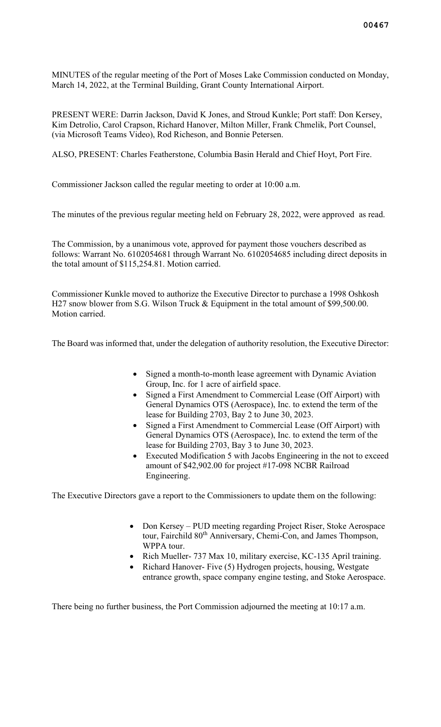MINUTES of the regular meeting of the Port of Moses Lake Commission conducted on Monday, March 14, 2022, at the Terminal Building, Grant County International Airport.

PRESENT WERE: Darrin Jackson, David K Jones, and Stroud Kunkle; Port staff: Don Kersey, Kim Detrolio, Carol Crapson, Richard Hanover, Milton Miller, Frank Chmelik, Port Counsel, (via Microsoft Teams Video), Rod Richeson, and Bonnie Petersen.

ALSO, PRESENT: Charles Featherstone, Columbia Basin Herald and Chief Hoyt, Port Fire.

Commissioner Jackson called the regular meeting to order at 10:00 a.m.

The minutes of the previous regular meeting held on February 28, 2022, were approved as read.

The Commission, by a unanimous vote, approved for payment those vouchers described as follows: Warrant No. 6102054681 through Warrant No. 6102054685 including direct deposits in the total amount of \$115,254.81. Motion carried.

Commissioner Kunkle moved to authorize the Executive Director to purchase a 1998 Oshkosh H27 snow blower from S.G. Wilson Truck & Equipment in the total amount of \$99,500.00. Motion carried.

The Board was informed that, under the delegation of authority resolution, the Executive Director:

- Signed a month-to-month lease agreement with Dynamic Aviation Group, Inc. for 1 acre of airfield space.
- Signed a First Amendment to Commercial Lease (Off Airport) with General Dynamics OTS (Aerospace), Inc. to extend the term of the lease for Building 2703, Bay 2 to June 30, 2023.
- Signed a First Amendment to Commercial Lease (Off Airport) with General Dynamics OTS (Aerospace), Inc. to extend the term of the lease for Building 2703, Bay 3 to June 30, 2023.
- Executed Modification 5 with Jacobs Engineering in the not to exceed amount of \$42,902.00 for project #17-098 NCBR Railroad Engineering.

The Executive Directors gave a report to the Commissioners to update them on the following:

- Don Kersey PUD meeting regarding Project Riser, Stoke Aerospace tour, Fairchild 80<sup>th</sup> Anniversary, Chemi-Con, and James Thompson, WPPA tour.
- Rich Mueller- 737 Max 10, military exercise, KC-135 April training.
- Richard Hanover- Five (5) Hydrogen projects, housing, Westgate entrance growth, space company engine testing, and Stoke Aerospace.

There being no further business, the Port Commission adjourned the meeting at 10:17 a.m.